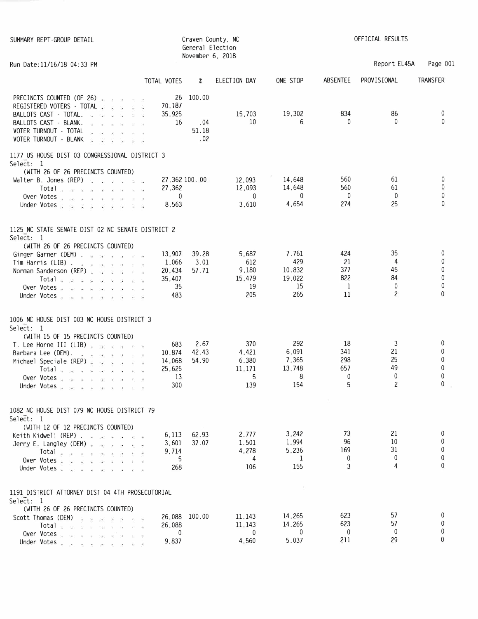| SUMMARY REPT-GROUP DETAIL                                                                                                                                                                                                                                                                                                                                                                                                                                                                                                                                                                                                                                                                                            |                                                  | General Election<br>November 6, 2018 | Craven County, NC                            |                                               |                                    | OFFICIAL RESULTS                                      |                                  |
|----------------------------------------------------------------------------------------------------------------------------------------------------------------------------------------------------------------------------------------------------------------------------------------------------------------------------------------------------------------------------------------------------------------------------------------------------------------------------------------------------------------------------------------------------------------------------------------------------------------------------------------------------------------------------------------------------------------------|--------------------------------------------------|--------------------------------------|----------------------------------------------|-----------------------------------------------|------------------------------------|-------------------------------------------------------|----------------------------------|
| Run Date: 11/16/18 04:33 PM                                                                                                                                                                                                                                                                                                                                                                                                                                                                                                                                                                                                                                                                                          |                                                  |                                      |                                              |                                               |                                    | Report EL45A                                          | Page 001                         |
|                                                                                                                                                                                                                                                                                                                                                                                                                                                                                                                                                                                                                                                                                                                      | TOTAL VOTES                                      | %                                    | ELECTION DAY                                 | ONE STOP                                      | ABSENTEE                           | PROVISIONAL                                           | <b>TRANSFER</b>                  |
| PRECINCTS COUNTED (OF 26)<br>REGISTERED VOTERS · TOTAL .<br>$\sim$<br>$\mathcal{L} = \mathcal{L}$<br>BALLOTS CAST - TOTAL.<br>me a s<br>- 12<br>BALLOTS CAST - BLANK.<br>The Control State<br>$\sim$<br>VOTER TURNOUT - TOTAL<br>$\sim$<br>Ŵ.<br>VOTER TURNOUT - BLANK<br>$\begin{array}{ccccccccccccc} \mathbf{1} & & \mathbf{1} & & \mathbf{1} & & \mathbf{1} & & \mathbf{1} & & \mathbf{1} & & \mathbf{1} & & \mathbf{1} & & \mathbf{1} & & \mathbf{1} & & \mathbf{1} & & \mathbf{1} & & \mathbf{1} & & \mathbf{1} & & \mathbf{1} & & \mathbf{1} & & \mathbf{1} & & \mathbf{1} & & \mathbf{1} & & \mathbf{1} & & \mathbf{1} & & \mathbf{1} & & \mathbf{1} & & \mathbf{1} & & \mathbf{1} & & \mathbf{1} & & \math$ | 26<br>70,187<br>35,925<br>16                     | 100.00<br>.04<br>51.18<br>.02        | 15,703<br>10                                 | 19,302<br>6                                   | 834<br>$\Omega$                    | 86<br>$\Omega$                                        | 0<br>$\Omega$                    |
| 1177 US HOUSE DIST 03 CONGRESSIONAL DISTRICT 3<br>Select: 1<br>(WITH 26 OF 26 PRECINCTS COUNTED)<br>Walter B. Jones (REP) $\ldots$ $\ldots$<br>Total and a series and a series of<br>Over Votes .<br>$\cos\theta$ , as $\cos\theta$ , and $\cos\theta$ , and<br>Under Votes                                                                                                                                                                                                                                                                                                                                                                                                                                          | 27,362 100.00<br>27,362<br>0<br>8,563            |                                      | 12,093<br>12,093<br>$\mathbf{0}$<br>3,610    | 14,648<br>14,648<br>$\mathbf{0}$<br>4,654     | 560<br>560<br>0<br>274             | 61<br>61<br>0<br>25                                   | 0<br>0<br>0<br>0                 |
| 1125 NC STATE SENATE DIST 02 NC SENATE DISTRICT 2<br>Select: 1                                                                                                                                                                                                                                                                                                                                                                                                                                                                                                                                                                                                                                                       |                                                  |                                      |                                              |                                               |                                    |                                                       |                                  |
| (WITH 26 OF 26 PRECINCTS COUNTED)<br>Ginger Garner (DEM)<br>$\mathsf{Tim}$ Harris (LIB)<br>Norman Sanderson (REP) a contract a contract of<br>$Total \cdot \cdot \cdot \cdot \cdot \cdot$<br>Over Votes<br>Under Votes                                                                                                                                                                                                                                                                                                                                                                                                                                                                                               | 13,907<br>1,066<br>20,434<br>35,407<br>35<br>483 | 39.28<br>3.01<br>57.71               | 5,687<br>612<br>9,180<br>15,479<br>19<br>205 | 7,761<br>429<br>10.832<br>19,022<br>15<br>265 | 424<br>21<br>377<br>822<br>1<br>11 | 35<br>4<br>45<br>84<br>$\mathbf{0}$<br>$\overline{c}$ | 0<br>0<br>0<br>0<br>0<br>0       |
| 1006 NC HOUSE DIST 003 NC HOUSE DISTRICT 3<br>Select: 1<br>(WITH 15 OF 15 PRECINCTS COUNTED)<br>T. Lee Horne III (LIB) $\cdots$ $\cdots$ $\cdots$<br>Barbara Lee (DEM).<br>$\mathbf{a}^{\prime}$ , $\mathbf{a}^{\prime}$ , and $\mathbf{a}^{\prime}$ , and $\mathbf{a}^{\prime}$ , $\mathbf{a}^{\prime}$ , $\mathbf{a}^{\prime}$<br>Michael Speciale (REP)<br>第一章<br>Total and a contract of<br>Over Votes<br>Under Votes                                                                                                                                                                                                                                                                                            | 683<br>10,874<br>14,068<br>25,625<br>13<br>300   | 2.67<br>42.43<br>54.90               | 370<br>4,421<br>6,380<br>11,171<br>5<br>139  | 292<br>6,091<br>7,365<br>13,748<br>8<br>154   | 18<br>341<br>298<br>657<br>0<br>5  | 3<br>21<br>25<br>49<br>0<br>2                         | 0<br>$\mathbf{0}$<br>0<br>0<br>0 |
| 1082 NC HOUSE DIST 079 NC HOUSE DISTRICT 79<br>Select: 1<br>(WITH 12 OF 12 PRECINCTS COUNTED)<br>Keith Kidwell (REP) $\ldots$ $\ldots$ $\ldots$ $\ldots$                                                                                                                                                                                                                                                                                                                                                                                                                                                                                                                                                             | 6,113                                            | 62.93                                | 2,777                                        | 3,242                                         | 73<br>96                           | 21<br>10                                              | 0<br>0                           |
| Jerry E. Langley (DEM) $\cdots$ $\cdots$<br>$Total \cdot \cdot \cdot \cdot \cdot \cdot$<br>Over Votes<br>Under Votes                                                                                                                                                                                                                                                                                                                                                                                                                                                                                                                                                                                                 | 3,601<br>9,714<br>5<br>268                       | 37.07                                | 1,501<br>4,278<br>4<br>106                   | 1,994<br>5,236<br>1<br>155                    | 169<br>0<br>3                      | 31<br>0<br>4                                          | 0<br>0<br>0                      |
| 1191 DISTRICT ATTORNEY DIST 04 4TH PROSECUTORIAL<br>Select: 1<br>(WITH 26 OF 26 PRECINCTS COUNTED)                                                                                                                                                                                                                                                                                                                                                                                                                                                                                                                                                                                                                   |                                                  |                                      |                                              |                                               |                                    |                                                       |                                  |
| Scott Thomas (DEM)<br>Over Votes, $\ldots$ , $\ldots$<br>Under Votes                                                                                                                                                                                                                                                                                                                                                                                                                                                                                                                                                                                                                                                 | 26,088<br>26,088<br>0<br>9,837                   | 100.00                               | 11,143<br>11,143<br>$\mathbf{0}$<br>4,560    | 14,265<br>14,265<br>0<br>5,037                | 623<br>623<br>0<br>211             | 57<br>57<br>0<br>29                                   | 0<br>0<br>0<br>0                 |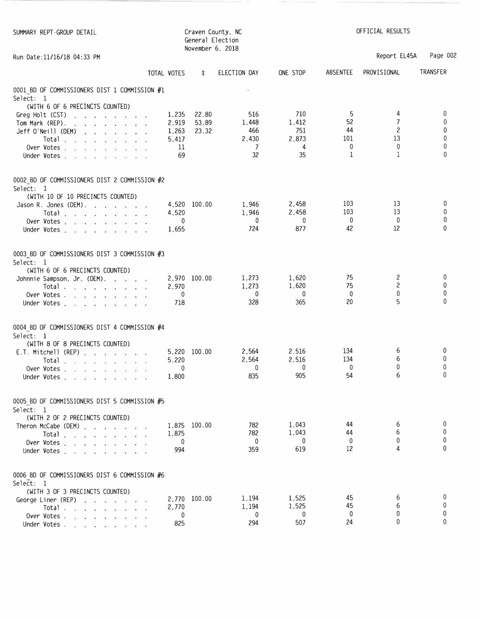| SUMMARY REPT-GROUP DETAIL                                                                                                                                                                                                                                                                                                                                                                                                      |                | General Election<br>November 6, 2018 | Craven County, NC |              | OFFICIAL RESULTS  |                  |              |
|--------------------------------------------------------------------------------------------------------------------------------------------------------------------------------------------------------------------------------------------------------------------------------------------------------------------------------------------------------------------------------------------------------------------------------|----------------|--------------------------------------|-------------------|--------------|-------------------|------------------|--------------|
| Run Date: 11/16/18 04:33 PM                                                                                                                                                                                                                                                                                                                                                                                                    |                |                                      |                   |              |                   | Report EL45A     | Page 002     |
|                                                                                                                                                                                                                                                                                                                                                                                                                                | TOTAL VOTES    | ∦                                    | ELECTION DAY      | ONE STOP     | ABSENTEE          | PROVISIONAL      | TRANSFER     |
| 0001 BD OF COMMISSIONERS DIST 1 COMMISSION #1<br>Select: 1                                                                                                                                                                                                                                                                                                                                                                     |                |                                      | $\mathcal{C}_1$   |              |                   |                  |              |
| (WITH 6 OF 6 PRECINCTS COUNTED)                                                                                                                                                                                                                                                                                                                                                                                                |                |                                      |                   |              |                   |                  |              |
| Greg Holt (CST) $\cdots$ $\cdots$ $\cdots$                                                                                                                                                                                                                                                                                                                                                                                     | 1,235          | 22.80<br>53.89                       | 516               | 710<br>1,412 | 5<br>52           | 4<br>7           | 0<br>0       |
| Tom Mark (REP).                                                                                                                                                                                                                                                                                                                                                                                                                | 2,919<br>1,263 | 23.32                                | 1,448<br>466      | 751          | 44                | $\mathbf{2}$     | 0            |
| Jeff O'Neill (DEM) $\cdots$ $\cdots$ $\cdots$<br>Total $\overline{a}$ $\overline{a}$ $\overline{a}$ $\overline{a}$ $\overline{a}$ $\overline{a}$ $\overline{a}$ $\overline{a}$ $\overline{a}$ $\overline{a}$ $\overline{a}$ $\overline{a}$ $\overline{a}$ $\overline{a}$ $\overline{a}$ $\overline{a}$ $\overline{a}$ $\overline{a}$ $\overline{a}$ $\overline{a}$ $\overline{a}$ $\overline{a}$ $\overline{a}$ $\overline{a}$ | 5,417          |                                      | 2,430             | 2,873        | 101               | 13               | 0            |
| Over Votes                                                                                                                                                                                                                                                                                                                                                                                                                     | 11             |                                      | 7                 | 4            | 0                 | $\mathbf 0$      | 0            |
| Under Votes                                                                                                                                                                                                                                                                                                                                                                                                                    | 69             |                                      | 32                | 35           | 1                 | 1                | $\Omega$     |
| 0002 BD OF COMMISSIONERS DIST 2 COMMISSION #2                                                                                                                                                                                                                                                                                                                                                                                  |                |                                      |                   |              |                   |                  |              |
| Select: 1                                                                                                                                                                                                                                                                                                                                                                                                                      |                |                                      |                   |              |                   |                  |              |
| (WITH 10 OF 10 PRECINCTS COUNTED)                                                                                                                                                                                                                                                                                                                                                                                              |                |                                      |                   |              |                   |                  |              |
| Jason R. Jones (DEM).                                                                                                                                                                                                                                                                                                                                                                                                          |                | 4,520 100.00                         | 1,946             | 2,458        | 103               | 13               | 0            |
| Total $\ldots$ $\ldots$ $\ldots$ $\ldots$                                                                                                                                                                                                                                                                                                                                                                                      | 4,520          |                                      | 1,946             | 2,458        | 103               | 13               | 0<br>0       |
| Over Votes, $\ldots$ , $\ldots$ , $\ldots$                                                                                                                                                                                                                                                                                                                                                                                     | 0              |                                      | $\mathbf 0$       | 0<br>877     | 0<br>42           | 0<br>12          | $\Omega$     |
| Under Votes, and a substitution of the state of the                                                                                                                                                                                                                                                                                                                                                                            | 1,655          |                                      | 724               |              |                   |                  |              |
| 0003 BD OF COMMISSIONERS DIST 3 COMMISSION #3                                                                                                                                                                                                                                                                                                                                                                                  |                |                                      |                   |              |                   |                  |              |
| Select: 1                                                                                                                                                                                                                                                                                                                                                                                                                      |                |                                      |                   |              |                   |                  |              |
| (WITH 6 OF 6 PRECINCTS COUNTED)                                                                                                                                                                                                                                                                                                                                                                                                |                |                                      | 1,273             | 1,620        | 75                | $\mathbf{2}$     | 0            |
| Johnnie Sampson, Jr. (DEM). a part of                                                                                                                                                                                                                                                                                                                                                                                          | 2,970          | 2,970 100.00                         | 1,273             | 1,620        | 75                | $\mathbf{2}$     | 0            |
| Total in the second service of<br>Over Votes. $\mathbb{R}^n$ and $\mathbb{R}^n$ are $\mathbb{R}^n$ and $\mathbb{R}^n$                                                                                                                                                                                                                                                                                                          | $\mathbf 0$    |                                      | 0                 | $\mathbf{0}$ | $\mathbf{0}$      | $\mathbf{0}$     | 0            |
| Under Votes.                                                                                                                                                                                                                                                                                                                                                                                                                   | 718            |                                      | 328               | 365          | 20                | 5                | $\mathbf{0}$ |
| 0004 BD OF COMMISSIONERS DIST 4 COMMISSION #4                                                                                                                                                                                                                                                                                                                                                                                  |                |                                      |                   |              |                   |                  |              |
| Select: 1                                                                                                                                                                                                                                                                                                                                                                                                                      |                |                                      |                   |              |                   |                  |              |
| (WITH 8 OF 8 PRECINCTS COUNTED)                                                                                                                                                                                                                                                                                                                                                                                                |                |                                      |                   |              |                   |                  |              |
| E.T. Mitchell (REP) $\ldots$ $\ldots$ $\ldots$                                                                                                                                                                                                                                                                                                                                                                                 |                | 5,220 100.00                         | 2,564             | 2.516        | 134               | 6                | $\bf{0}$     |
| Total $\ldots$ $\ldots$ $\ldots$ $\ldots$                                                                                                                                                                                                                                                                                                                                                                                      | 5,220          |                                      | 2,564             | 2,516        | 134               | 6                | 0<br>0       |
| Over Votes                                                                                                                                                                                                                                                                                                                                                                                                                     | 0              |                                      | 0<br>835          | 0<br>905     | $\mathbf 0$<br>54 | $\mathbf 0$<br>6 | <sup>0</sup> |
| Under Votes                                                                                                                                                                                                                                                                                                                                                                                                                    | 1,800          |                                      |                   |              |                   |                  |              |
| 0005 BD OF COMMISSIONERS DIST 5 COMMISSION #5                                                                                                                                                                                                                                                                                                                                                                                  |                |                                      |                   |              |                   |                  |              |
| Select: 1                                                                                                                                                                                                                                                                                                                                                                                                                      |                |                                      |                   |              |                   |                  |              |
| (WITH 2 OF 2 PRECINCTS COUNTED)                                                                                                                                                                                                                                                                                                                                                                                                |                | 1.875 100.00                         | 782               | 1,043        | 44                | 6                | 0            |
| Theron McCabe (DEM)                                                                                                                                                                                                                                                                                                                                                                                                            | 1,875          |                                      | 782               | 1,043        | 44                | 6                | 0            |
| Total                                                                                                                                                                                                                                                                                                                                                                                                                          | $\mathbf{0}$   |                                      | $\mathbf{0}$      | $\mathbf{0}$ | $\mathbf{0}$      | 0                | 0            |
| Over Votes                                                                                                                                                                                                                                                                                                                                                                                                                     | 994            |                                      | 359               | 619          | 12                | 4                | $\Omega$     |
| Under Votes                                                                                                                                                                                                                                                                                                                                                                                                                    |                |                                      |                   |              |                   |                  |              |
| 0006 BD OF COMMISSIONERS DIST 6 COMMISSION #6                                                                                                                                                                                                                                                                                                                                                                                  |                |                                      |                   |              |                   |                  |              |
| Select: 1                                                                                                                                                                                                                                                                                                                                                                                                                      |                |                                      |                   |              |                   |                  |              |
| (WITH 3 OF 3 PRECINCTS COUNTED)                                                                                                                                                                                                                                                                                                                                                                                                |                | 2,770 100.00                         | 1.194             | 1,525        | 45                | 6                | 0            |
| George Liner (REP) a sample of the state<br>Total and a series are a series                                                                                                                                                                                                                                                                                                                                                    | 2,770          |                                      | 1,194             | 1,525        | 45                | 6                | 0            |
| Over Votes. $\cdots$ $\cdots$                                                                                                                                                                                                                                                                                                                                                                                                  | $\mathbf{0}$   |                                      | 0                 | $\mathbf{0}$ | 0                 | $\Omega$         | 0            |
| Under Votes                                                                                                                                                                                                                                                                                                                                                                                                                    | 825            |                                      | 294               | 507          | 24                | $\Omega$         | $\Omega$     |
|                                                                                                                                                                                                                                                                                                                                                                                                                                |                |                                      |                   |              |                   |                  |              |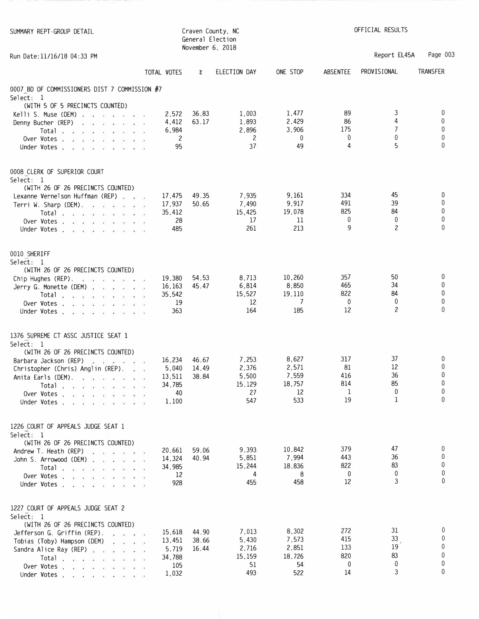| SUMMARY REPT-GROUP DETAIL                                                                                      | Craven County, NC<br>General Election<br>November 6, 2018 |                |                |                | OFFICIAL RESULTS    |                 |                 |
|----------------------------------------------------------------------------------------------------------------|-----------------------------------------------------------|----------------|----------------|----------------|---------------------|-----------------|-----------------|
| Run Date: 11/16/18 04:33 PM                                                                                    |                                                           |                |                |                |                     | Report EL45A    | Page 003        |
|                                                                                                                | TOTAL VOTES                                               | ∦              | ELECTION DAY   | ONE STOP       | ABSENTEE            | PROVISIONAL     | <b>TRANSFER</b> |
| 0007 BD OF COMMISSIONERS DIST 7 COMMISSION #7<br>Select: 1                                                     |                                                           |                |                |                |                     |                 |                 |
| (WITH 5 OF 5 PRECINCTS COUNTED)                                                                                |                                                           |                |                |                | 89                  | 3               | 0               |
| Kelli S. Muse (DEM) $\ldots$ and $\ldots$ and $\ldots$<br>Denny Bucher (REP)                                   | 2,572<br>4,412                                            | 36.83<br>63.17 | 1,003<br>1,893 | 1,477<br>2,429 | 86                  | 4               | $\mathbf{0}$    |
| $\mathcal{R}=\mathcal{R}$ . For $\mathcal{R}=\mathcal{R}$ , we have<br>Total $x \times x + x + y + z + z + z$  | 6,984                                                     |                | 2,896          | 3,906          | 175                 | 7               | 0               |
| Over Votes                                                                                                     | 2                                                         |                | 2              | $\mathbf 0$    | $\mathbf 0$         | $\mathbf 0$     | 0               |
| Under Votes                                                                                                    | 95                                                        |                | 37             | 49             | 4                   | 5               | $\Omega$        |
| 0008 CLERK OF SUPERIOR COURT<br>Select: 1                                                                      |                                                           |                |                |                |                     |                 |                 |
| (WITH 26 OF 26 PRECINCTS COUNTED)                                                                              |                                                           |                |                |                |                     |                 |                 |
| Lexanne Vernelson Huffman (REP)                                                                                | 17,475                                                    | 49.35          | 7,935          | 9,161          | 334                 | 45              | 0               |
| Terri W. Sharp (DEM). $\therefore$ $\therefore$ $\therefore$ $\therefore$                                      | 17,937                                                    | 50.65          | 7,490          | 9,917          | 491                 | 39              | 0<br>0          |
| Total and an annual service of                                                                                 | 35,412                                                    |                | 15,425<br>17   | 19,078<br>11   | 825<br>$\mathbf{0}$ | 84<br>0         | 0               |
| Over Votes<br>Under Votes                                                                                      | 28<br>485                                                 |                | 261            | 213            | 9                   | $\overline{c}$  | $\Omega$        |
| 0010 SHERIFF<br>Select: 1                                                                                      |                                                           |                |                |                |                     |                 |                 |
| (WITH 26 OF 26 PRECINCTS COUNTED)                                                                              | 19,380                                                    | 54,53          | 8,713          | 10,260         | 357                 | 50              | $\bf{0}$        |
| Chip Hughes (REP). $\cdots$ $\cdots$ $\cdots$<br>Jerry G. Monette (DEM)                                        | 16,163                                                    | 45.47          | 6,814          | 8,850          | 465                 | 34              | 0               |
| Total $\ldots$ $\ldots$ $\ldots$ $\ldots$                                                                      | 35,542                                                    |                | 15,527         | 19,110         | 822                 | 84              | 0               |
| Over Votes                                                                                                     | 19                                                        |                | 12             | 7              | $\mathbf 0$         | $\mathbf 0$     | 0               |
| Under Votes                                                                                                    | 363                                                       |                | 164            | 185            | 12                  | $\overline{c}$  | $\mathbf{0}$    |
| 1376 SUPREME CT ASSC JUSTICE SEAT 1                                                                            |                                                           |                |                |                |                     |                 |                 |
| Select: 1<br>(WITH 26 OF 26 PRECINCTS COUNTED)                                                                 |                                                           |                |                |                |                     |                 |                 |
| Barbara Jackson (REP) and a series of                                                                          | 16.234                                                    | 46.67          | 7,253          | 8,627          | 317                 | 37              | 0               |
| Christopher (Chris) Anglin (REP).                                                                              | 5,040                                                     | 14.49          | 2,376          | 2,571          | 81                  | 12              | 0               |
| Anita Earls (DEM). A serior contra entrancement of the series of the series of the series of the series of the | 13,511                                                    | 38.84          | 5,500          | 7,559          | 416                 | 36              | 0               |
|                                                                                                                | 34,785                                                    |                | 15,129         | 18,757         | 814                 | 85              | 0               |
| Over Votes                                                                                                     | 40                                                        |                | 27             | 12             | 1                   | $\mathbf{0}$    | 0               |
| Under Votes                                                                                                    | 1,100                                                     |                | 547            | 533            | 19                  | 1               | 0               |
| 1226 COURT OF APPEALS JUDGE SEAT 1<br>Select: 1                                                                |                                                           |                |                |                |                     |                 |                 |
| (WITH 26 OF 26 PRECINCTS COUNTED)<br>Andrew T. Heath (REP)                                                     | 20,661                                                    | 59.06          | 9,393          | 10,842         | 379                 | 47              | 0               |
| John S. Arrowood (DEM)                                                                                         | 14,324                                                    | 40.94          | 5,851          | 7,994          | 443                 | 36              | 0               |
| Total species contracted                                                                                       | 34,985                                                    |                | 15,244         | 18,836         | 822                 | 83              | 0               |
| Over Votes $\cdots$ $\cdots$                                                                                   | 12                                                        |                | 4              | 8              | $\mathbf{0}$        | $\mathbf 0$     | 0               |
| Under Votes                                                                                                    | 928                                                       |                | 455            | 458            | 12                  | 3               | $\Omega$        |
| 1227 COURT OF APPEALS JUDGE SEAT 2<br>Select: 1                                                                |                                                           |                |                |                |                     |                 |                 |
| (WITH 26 OF 26 PRECINCTS COUNTED)                                                                              |                                                           |                |                |                | 272                 | 31              | 0               |
| Jefferson G. Griffin (REP).                                                                                    | 15,618                                                    | 44.90          | 7,013<br>5,430 | 8,302<br>7,573 | 415                 | 33 <sub>1</sub> | $\mathbf{0}$    |
| Tobias (Toby) Hampson (DEM) , and the set                                                                      | 13,451                                                    | 38.66<br>16.44 | 2,716          | 2,851          | 133                 | 19              | $\Omega$        |
| Sandra Alice Ray (REP)<br>Total a reservation of the second service of                                         | 5,719<br>34,788                                           |                | 15,159         | 18,726         | 820                 | 83              | 0               |
| Over Votes                                                                                                     | 105                                                       |                | 51             | 54             | 0                   | 0               | 0               |
| Under Votes and a subset of the state of the state of the state of the state of the state of the state of the  | 1,032                                                     |                | 493            | 522            | 14                  | 3               | 0               |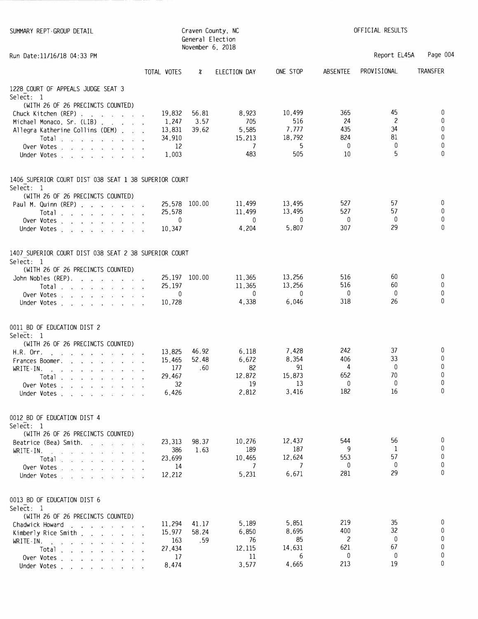| SUMMARY REPT-GROUP DETAIL                                                                                                                                                                                                           |                 | General Election<br>November 6, 2018 | Craven County, NC | OFFICIAL RESULTS |            |                      |                   |  |
|-------------------------------------------------------------------------------------------------------------------------------------------------------------------------------------------------------------------------------------|-----------------|--------------------------------------|-------------------|------------------|------------|----------------------|-------------------|--|
| Run Date: 11/16/18 04:33 PM                                                                                                                                                                                                         |                 |                                      |                   |                  |            | Report EL45A         | Page 004          |  |
|                                                                                                                                                                                                                                     | TOTAL VOTES     | X                                    | ELECTION DAY      | ONE STOP         | ABSENTEE   | PROVISIONAL          | <b>TRANSFER</b>   |  |
| 1228 COURT OF APPEALS JUDGE SEAT 3<br>Select: 1                                                                                                                                                                                     |                 |                                      |                   |                  |            |                      |                   |  |
| (WITH 26 OF 26 PRECINCTS COUNTED)<br>Chuck Kitchen (REP)                                                                                                                                                                            | 19,832          | 56.81                                | 8,923             | 10,499           | 365        | 45                   | 0                 |  |
| Michael Monaco, Sr. (LIB)<br>Allegra Katherine Collins (DEM)                                                                                                                                                                        | 1,247<br>13,831 | 3.57<br>39,62                        | 705<br>5,585      | 516<br>7,777     | 24<br>435  | $\overline{c}$<br>34 | $\mathbf{0}$<br>0 |  |
| Total a contract and a contract of                                                                                                                                                                                                  | 34,910          |                                      | 15,213            | 18,792           | 824        | 81                   | 0                 |  |
| Over Votes                                                                                                                                                                                                                          | 12              |                                      | 7                 | 5                | 0          | 0                    | 0                 |  |
| Under Votes                                                                                                                                                                                                                         | 1,003           |                                      | 483               | 505              | 10         | 5                    | 0                 |  |
| 1406 SUPERIOR COURT DIST 038 SEAT 1 38 SUPERIOR COURT<br>Select: 1                                                                                                                                                                  |                 |                                      |                   |                  |            |                      |                   |  |
| (WITH 26 OF 26 PRECINCTS COUNTED)                                                                                                                                                                                                   |                 |                                      |                   |                  |            | 57                   | 0                 |  |
| Paul M. Quinn (REP) a service service service service service service service service service service service<br>Total $\cdots$                                                                                                     | 25,578          | 25,578 100.00                        | 11,499<br>11,499  | 13,495<br>13,495 | 527<br>527 | 57                   | 0                 |  |
| Over Votes                                                                                                                                                                                                                          | 0               |                                      | $\mathbf{0}$      | 0                | 0          | 0                    | 0                 |  |
| Under Votes                                                                                                                                                                                                                         | 10,347          |                                      | 4,204             | 5,807            | 307        | 29                   | 0                 |  |
| 1407 SUPERIOR COURT DIST 038 SEAT 2 38 SUPERIOR COURT<br>Select: 1                                                                                                                                                                  |                 |                                      |                   |                  |            |                      |                   |  |
| (WITH 26 OF 26 PRECINCTS COUNTED)                                                                                                                                                                                                   |                 |                                      |                   |                  |            |                      |                   |  |
| John Nobles (REP). $\ldots$ $\ldots$ $\ldots$                                                                                                                                                                                       |                 | 25,197 100.00                        | 11,365<br>11,365  | 13,256<br>13,256 | 516<br>516 | 60<br>60             | 0<br>0            |  |
| Total $\ldots$ $\ldots$ $\ldots$ .<br>Over Votes and a single stream and                                                                                                                                                            | 25,197<br>0     |                                      | $\mathbf 0$       | 0                | 0          | 0                    | 0                 |  |
| Under Votes                                                                                                                                                                                                                         | 10,728          |                                      | 4,338             | 6,046            | 318        | 26                   | $\mathbf{0}$      |  |
| 0011 BD OF EDUCATION DIST 2<br>Select: 1<br>(WITH 26 OF 26 PRECINCTS COUNTED)                                                                                                                                                       |                 |                                      |                   |                  |            |                      |                   |  |
| H.R. Orr. ; ; ; ; ; ; ; ; ; ; ; ;                                                                                                                                                                                                   | 13,825          | 46.92                                | 6,118             | 7,428            | 242        | 37                   | 0                 |  |
| <b>Frances Boomer.</b> We are a seriously as a seriously and a seriously and a seriously and a seriously and a seriously and a seriously and a seriously and a seriously and a seriously and a seriously and a seriously and a seri | 15.465          | 52.48                                | 6,672             | 8,354            | 406        | 33                   | 0                 |  |
| WRITE-IN. The property of the property of the p                                                                                                                                                                                     | 177             | .60                                  | 82                | 91               | 4          | 0                    | 0                 |  |
| Total                                                                                                                                                                                                                               | 29,467          |                                      | 12.872            | 15,873           | 652<br>0   | 70<br>$\mathbf 0$    | 0<br>0            |  |
| Over Votes .<br>2010/07/2012<br>Under Votes vision of a state of a                                                                                                                                                                  | 32<br>6,426     |                                      | 19<br>2,812       | 13<br>3,416      | 182        | 16                   | 0                 |  |
|                                                                                                                                                                                                                                     |                 |                                      |                   |                  |            |                      |                   |  |
| 0012 BD OF EDUCATION DIST 4<br>Select: 1                                                                                                                                                                                            |                 |                                      |                   |                  |            |                      |                   |  |
| (WITH 26 OF 26 PRECINCTS COUNTED)<br>Beatrice (Bea) Smith. A serior of a                                                                                                                                                            | 23,313          | 98.37                                | 10,276            | 12,437           | 544        | 56                   | 0                 |  |
| $WRITE-IN.$ $\ldots$ $\ldots$<br>2<br>$\sim$                                                                                                                                                                                        | 386             | 1.63                                 | 189               | 187              | 9          | 1                    | $\mathbf{0}$      |  |
|                                                                                                                                                                                                                                     | 23,699          |                                      | 10,465            | 12,624           | 553        | 57                   | 0                 |  |
| Over Votes                                                                                                                                                                                                                          | 14              |                                      | 7                 | 7                | 0          | 0<br>29              | 0<br>0            |  |
| Under Votes<br>- 14<br>富 府                                                                                                                                                                                                          | 12,212          |                                      | 5,231             | 6,671            | 281        |                      |                   |  |
| 0013 BD OF EDUCATION DIST 6<br>Select: 1                                                                                                                                                                                            |                 |                                      |                   |                  |            |                      |                   |  |
| (WITH 26 OF 26 PRECINCTS COUNTED)                                                                                                                                                                                                   | 11,294          | 41.17                                | 5,189             | 5,851            | 219        | 35                   | 0                 |  |
| Chadwick Howard<br>Kimberly Rice Smith.<br>the contract of the                                                                                                                                                                      | 15,977          | 58.24                                | 6,850             | 8,695            | 400        | 32                   | 0                 |  |
| WRITE IN                                                                                                                                                                                                                            | 163             | .59                                  | 76                | 85               | 2          | $\mathbf{0}$         | 0                 |  |
| Total variation is a series                                                                                                                                                                                                         | 27,434          |                                      | 12,115            | 14,631           | 621        | 67                   | 0                 |  |
| Over Votes                                                                                                                                                                                                                          | 17              |                                      | 11<br>3,577       | 6<br>4,665       | 0<br>213   | 0<br>19              | 0<br>0            |  |
| Under Votes                                                                                                                                                                                                                         | 8,474           |                                      |                   |                  |            |                      |                   |  |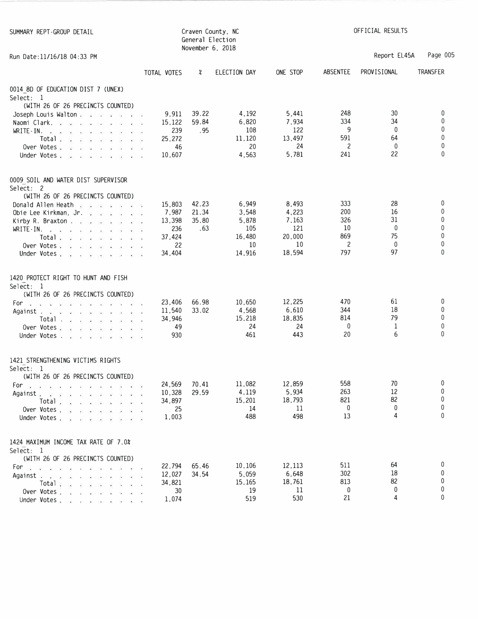| SUMMARY REPT-GROUP DETAIL                                                                                     |                    | November 6, 2018 | Craven County, NC<br>General Election | OFFICIAL RESULTS |              |              |                 |  |
|---------------------------------------------------------------------------------------------------------------|--------------------|------------------|---------------------------------------|------------------|--------------|--------------|-----------------|--|
| Run Date: 11/16/18 04:33 PM                                                                                   |                    |                  |                                       |                  |              | Report EL45A | Page 005        |  |
|                                                                                                               | TOTAL VOTES        | ∦                | ELECTION DAY                          | ONE STOP         | ABSENTEE     | PROVISIONAL  | <b>TRANSFER</b> |  |
| 0014 8D OF EDUCATION DIST 7 (UNEX)                                                                            |                    |                  |                                       |                  |              |              |                 |  |
| Select: 1                                                                                                     |                    |                  |                                       |                  |              |              |                 |  |
| (WITH 26 OF 26 PRECINCTS COUNTED)<br>Joseph Louis Walton                                                      | 9,911              | 39.22            | 4,192                                 | 5,441            | 248          | 30           | $\mathbf 0$     |  |
| Naomi Clark.<br>740 CAR<br>$\sim 10$<br>$\mathcal{A}$ . Then, we have a $\mathcal{A}$                         | 15,122             | 59.84            | 6,820                                 | 7,934            | 334          | 34           | 0               |  |
| $WRITE-IN.$ $\ldots$ $\ldots$ $\ldots$                                                                        | 239                | .95              | 108                                   | 122              | 9            | $\mathbf{0}$ | 0               |  |
| Total $\ldots$ $\ldots$ $\ldots$                                                                              | 25.272             |                  | 11,120                                | 13,497           | 591          | 64           | 0               |  |
| Over Votes $\cdots$ $\cdots$                                                                                  | 46                 |                  | 20                                    | 24               | 2            | $\mathbf{0}$ | 0               |  |
| Under Votes                                                                                                   | 10,607             |                  | 4,563                                 | 5,781            | 241          | 22           | $\Omega$        |  |
| 0009 SOIL AND WATER DIST SUPERVISOR                                                                           |                    |                  |                                       |                  |              |              |                 |  |
| Select: 2<br>(WITH 26 OF 26 PRECINCTS COUNTED)                                                                |                    |                  |                                       |                  |              |              |                 |  |
| Donald Allen Heath a same a same of                                                                           | 15,803             | 42.23            | 6,949                                 | 8,493            | 333          | 28           | 0               |  |
| Obie Lee Kirkman, Jr.                                                                                         | 7,987              | 21.34            | 3,548                                 | 4,223            | 200          | 16           | 0               |  |
| Kirby R. Braxton                                                                                              | 13,398             | 35.80            | 5,878                                 | 7,163            | 326          | 31           | 0               |  |
| $WRITE-IN.$ $\ldots$ $\ldots$ $\ldots$                                                                        | 236                | .63              | 105                                   | 121              | 10           | $\mathbf{0}$ | 0               |  |
|                                                                                                               | 37,424             |                  | 16,480                                | 20,000           | 869          | 75           | 0               |  |
| Over Votes                                                                                                    | 22                 |                  | 10                                    | 10               | 2            | $\mathbf{0}$ | 0               |  |
| Under Votes, and a series of                                                                                  | 34,404             |                  | 14,916                                | 18,594           | 797          | 97           | $\Omega$        |  |
| 1420 PROTECT RIGHT TO HUNT AND FISH                                                                           |                    |                  |                                       |                  |              |              |                 |  |
| Select: 1                                                                                                     |                    |                  |                                       |                  |              |              |                 |  |
| (WITH 26 OF 26 PRECINCTS COUNTED)                                                                             | 23,406             | 66.98            | 10,650                                | 12,225           | 470          | 61           | 0               |  |
| For a target a target when we would<br>Against                                                                | 11,540             | 33.02            | 4,568                                 | 6,610            | 344          | 18           | 0               |  |
| $Total \cdot \cdot \cdot \cdot \cdot \cdot$                                                                   | 34,946             |                  | 15,218                                | 18,835           | 814          | 79           | 0               |  |
| Over Votes                                                                                                    | 49                 |                  | 24                                    | 24               | $\mathbf{0}$ | 1            | 0               |  |
| Under Votes.                                                                                                  | 930                |                  | 461                                   | 443              | 20           | 6            | 0               |  |
| 1421 STRENGTHENING VICTIMS RIGHTS                                                                             |                    |                  |                                       |                  |              |              |                 |  |
| Select: 1                                                                                                     |                    |                  |                                       |                  |              |              |                 |  |
| (WITH 26 OF 26 PRECINCTS COUNTED)                                                                             |                    |                  |                                       |                  |              |              |                 |  |
| For $x \rightarrow 0$ , $x \rightarrow 0$ , $y \rightarrow 0$ , $y \rightarrow 0$<br>$\sim$<br>$\overline{1}$ | 24,569             | 70.41            | 11,082                                | 12,859           | 558          | 70           | 0<br>0          |  |
| Againsts<br>$\overline{1/2}$                                                                                  | 10,328             | 29.59            | 4,119<br>15,201                       | 5,934<br>18,793  | 263<br>821   | 12<br>82     | 0               |  |
| Total and a series with a<br>Over Votes, $\ldots$                                                             | 34,897<br>25       |                  | 14                                    | 11               | 0            | 0            | 0               |  |
| Under Votes<br>$\alpha$                                                                                       | 1,003<br>$\lambda$ |                  | 488                                   | 498              | 13           | 4            | $\Omega$        |  |
|                                                                                                               |                    |                  |                                       |                  |              |              |                 |  |
| 1424 MAXIMUM INCOME TAX RATE OF 7.0%<br>Select: 1                                                             |                    |                  |                                       |                  |              |              |                 |  |
| (WITH 26 OF 26 PRECINCTS COUNTED)                                                                             |                    |                  |                                       |                  |              |              |                 |  |
| For a a case of a new extent                                                                                  | 22,794             | 65.46            | 10,106                                | 12,113           | 511          | 64           | 0               |  |
| Against                                                                                                       | 12,027             | 34.54            | 5,059                                 | 6,648            | 302          | 18           | 0               |  |
| Total :<br>$x = x$<br>$\sim$                                                                                  | 34,821             |                  | 15,165                                | 18,761           | 813          | 82           | 0               |  |
| Over Votes and a communication<br>$\mathcal{V}_1 = \mathcal{V}_2$                                             | 30                 |                  | 19                                    | 11               | 0            | 0            | 0               |  |
| Under Votes.                                                                                                  | 1,074              |                  | 519                                   | 530              | 21           | 4            | 0               |  |